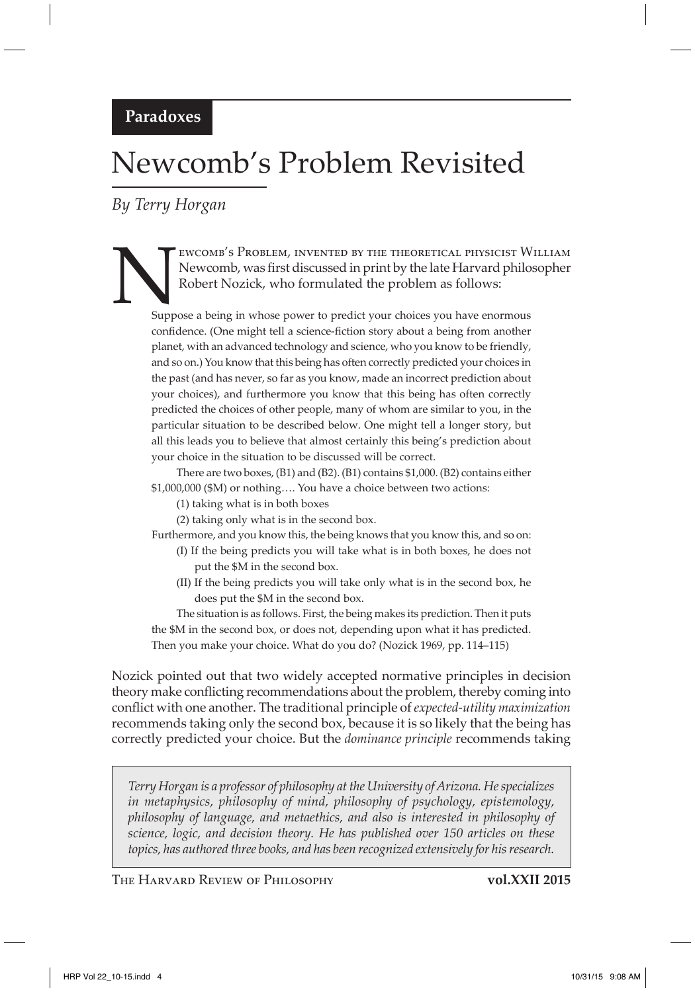# **Paradoxes**

# Newcomb's Problem Revisited

*By Terry Horgan*

EWCOMB'S PROBLEM, INVENTED BY THE THEORETICAL PHYSICIST WILLIAM<br>Newcomb, was first discussed in print by the late Harvard philosopher<br>Robert Nozick, who formulated the problem as follows:<br>Suppose a being in whose power to Newcomb, was frst discussed in print by the late Harvard philosopher Robert Nozick, who formulated the problem as follows:

Suppose a being in whose power to predict your choices you have enormous confdence. (One might tell a science-fction story about a being from another planet, with an advanced technology and science, who you know to be friendly, and so on.) You know that this being has often correctly predicted your choices in the past (and has never, so far as you know, made an incorrect prediction about your choices), and furthermore you know that this being has often correctly predicted the choices of other people, many of whom are similar to you, in the particular situation to be described below. One might tell a longer story, but all this leads you to believe that almost certainly this being's prediction about your choice in the situation to be discussed will be correct.

There are two boxes, (B1) and (B2). (B1) contains \$1,000. (B2) contains either \$1,000,000 (\$M) or nothing…. You have a choice between two actions:

- (1) taking what is in both boxes
- (2) taking only what is in the second box.

Furthermore, and you know this, the being knows that you know this, and so on:

- (I) If the being predicts you will take what is in both boxes, he does not put the \$M in the second box.
- (II) If the being predicts you will take only what is in the second box, he does put the \$M in the second box.

The situation is as follows. First, the being makes its prediction. Then it puts the \$M in the second box, or does not, depending upon what it has predicted. Then you make your choice. What do you do? (Nozick 1969, pp. 114–115)

Nozick pointed out that two widely accepted normative principles in decision theory make conficting recommendations about the problem, thereby coming into confict with one another. The traditional principle of *expected-utility maximization* recommends taking only the second box, because it is so likely that the being has correctly predicted your choice. But the *dominance principle* recommends taking

*Terry Horgan is a professor of philosophy at the University of Arizona. He specializes in metaphysics, philosophy of mind, philosophy of psychology, epistemology, philosophy of language, and metaethics, and also is interested in philosophy of science, logic, and decision theory. He has published over 150 articles on these topics, has authored three books, and has been recognized extensively for his research.*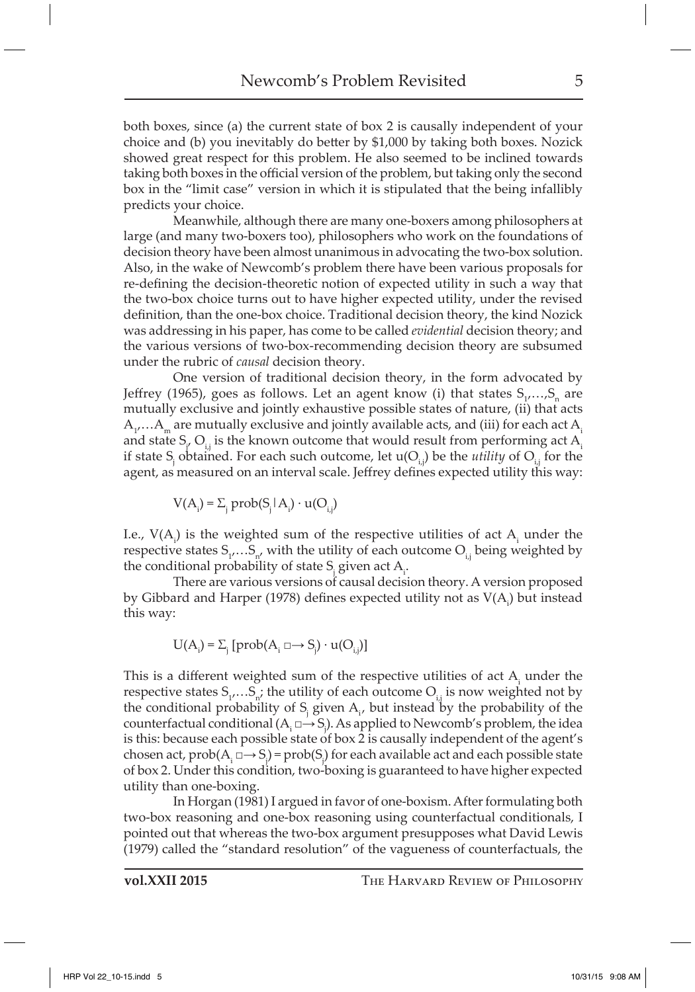both boxes, since (a) the current state of box 2 is causally independent of your choice and (b) you inevitably do beter by \$1,000 by taking both boxes. Nozick showed great respect for this problem. He also seemed to be inclined towards taking both boxes in the official version of the problem, but taking only the second box in the "limit case" version in which it is stipulated that the being infallibly predicts your choice.

Meanwhile, although there are many one-boxers among philosophers at large (and many two-boxers too), philosophers who work on the foundations of decision theory have been almost unanimous in advocating the two-box solution. Also, in the wake of Newcomb's problem there have been various proposals for re-defning the decision-theoretic notion of expected utility in such a way that the two-box choice turns out to have higher expected utility, under the revised defnition, than the one-box choice. Traditional decision theory, the kind Nozick was addressing in his paper, has come to be called *evidential* decision theory; and the various versions of two-box-recommending decision theory are subsumed under the rubric of *causal* decision theory.

One version of traditional decision theory, in the form advocated by Jeffrey (1965), goes as follows. Let an agent know (i) that states  $S_{1},...,S_{n}$  are mutually exclusive and jointly exhaustive possible states of nature, (ii) that acts  $A_{1},...,A_{m}$  are mutually exclusive and jointly available acts, and (iii) for each act  $A_{i}$ and state  $S_{\gamma}$  O<sub>i,j</sub> is the known outcome that would result from performing act A<sub>i</sub> if state S<sub>i</sub> obtained. For each such outcome, let  $u(O_{i,j})$  be the *utility* of  $O_{i,j}$  for the agent, as measured on an interval scale. Jefrey defnes expected utility this way:

$$
V(A_i) = \sum_i \text{prob}(S_i | A_i) \cdot u(O_{i,j})
$$

I.e.,  $V(A<sub>i</sub>)$  is the weighted sum of the respective utilities of act  $A<sub>i</sub>$  under the respective states  $S_{1},...,S_{n'}$  with the utility of each outcome  $O_{i,j}$  being weighted by the conditional probability of state  $S<sub>j</sub>$  given act  $A<sub>i</sub>$ .

There are various versions of causal decision theory. A version proposed by Gibbard and Harper (1978) defines expected utility not as  $V(A_i)$  but instead this way:

$$
U(A_i) = \sum_{j} \left[ \text{prob}(A_i \square \rightarrow S_j) \cdot u(O_{i,j}) \right]
$$

This is a different weighted sum of the respective utilities of act  $A_i$  under the respective states  $S_{1},...,S_{n}$ ; the utility of each outcome  $O_{i,j}$  is now weighted not by the conditional probability of  $S_i$  given  $A_i$ , but instead by the probability of the counterfactual conditional  $(A_i \rightharpoonup S_j)$ . As applied to Newcomb's problem, the idea is this: because each possible state of box 2 is causally independent of the agent's chosen act,  $prob(A_i \square \rightarrow S_j) = prob(S_j)$  for each available act and each possible state of box 2. Under this condition, two-boxing is guaranteed to have higher expected utility than one-boxing.

In Horgan (1981) I argued in favor of one-boxism. After formulating both two-box reasoning and one-box reasoning using counterfactual conditionals, I pointed out that whereas the two-box argument presupposes what David Lewis (1979) called the "standard resolution" of the vagueness of counterfactuals, the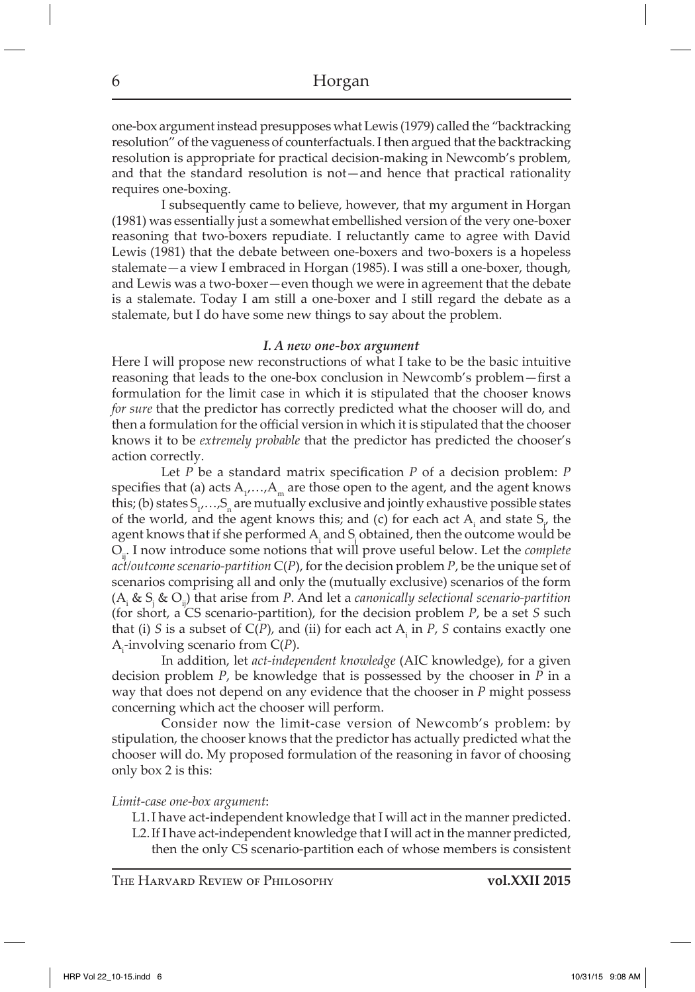one-box argument instead presupposes what Lewis (1979) called the "backtracking resolution" of the vagueness of counterfactuals. I then argued that the backtracking resolution is appropriate for practical decision-making in Newcomb's problem, and that the standard resolution is not—and hence that practical rationality requires one-boxing.

I subsequently came to believe, however, that my argument in Horgan (1981) was essentially just a somewhat embellished version of the very one-boxer reasoning that two-boxers repudiate. I reluctantly came to agree with David Lewis (1981) that the debate between one-boxers and two-boxers is a hopeless stalemate—a view I embraced in Horgan (1985). I was still a one-boxer, though, and Lewis was a two-boxer—even though we were in agreement that the debate is a stalemate. Today I am still a one-boxer and I still regard the debate as a stalemate, but I do have some new things to say about the problem.

#### *I. A new one-box argument*

Here I will propose new reconstructions of what I take to be the basic intuitive reasoning that leads to the one-box conclusion in Newcomb's problem—frst a formulation for the limit case in which it is stipulated that the chooser knows *for sure* that the predictor has correctly predicted what the chooser will do, and then a formulation for the official version in which it is stipulated that the chooser knows it to be *extremely probable* that the predictor has predicted the chooser's action correctly.

Let *P* be a standard matrix specifcation *P* of a decision problem: *P* specifies that (a) acts  $A_1,...,A_m$  are those open to the agent, and the agent knows this; (b) states  $S_{1},...,S_{n}$  are mutually exclusive and jointly exhaustive possible states of the world, and the agent knows this; and (c) for each act  $A_i$  and state  $S_{\gamma}$  the agent knows that if she performed  $A_i$  and  $S_i$  obtained, then the outcome would be Oij. I now introduce some notions that will prove useful below. Let the *complete act/outcome scenario-partition* C(*P*), for the decision problem *P*, be the unique set of scenarios comprising all and only the (mutually exclusive) scenarios of the form (Ai & Sj & Oij) that arise from *P*. And let a *canonically selectional scenario-partition* (for short, a CS scenario-partition), for the decision problem *P*, be a set *S* such that (i) *S* is a subset of  $C(P)$ , and (ii) for each act  $A_i$  in *P*, *S* contains exactly one Ai -involving scenario from C(*P*).

In addition, let *act-independent knowledge* (AIC knowledge), for a given decision problem *P*, be knowledge that is possessed by the chooser in *P* in a way that does not depend on any evidence that the chooser in *P* might possess concerning which act the chooser will perform.

Consider now the limit-case version of Newcomb's problem: by stipulation, the chooser knows that the predictor has actually predicted what the chooser will do. My proposed formulation of the reasoning in favor of choosing only box 2 is this:

#### *Limit-case one-box argument*:

- L1.I have act-independent knowledge that I will act in the manner predicted.
- L2.If I have act-independent knowledge that I will act in the manner predicted, then the only CS scenario-partition each of whose members is consistent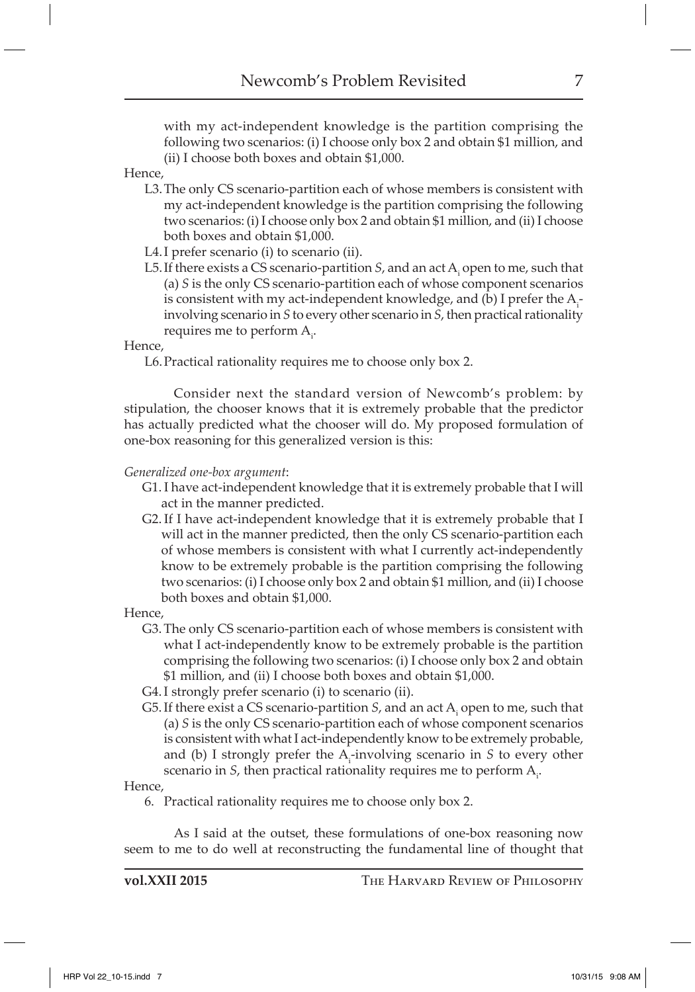with my act-independent knowledge is the partition comprising the following two scenarios: (i) I choose only box 2 and obtain \$1 million, and (ii) I choose both boxes and obtain \$1,000.

## Hence,

- L3.The only CS scenario-partition each of whose members is consistent with my act-independent knowledge is the partition comprising the following two scenarios: (i) I choose only box 2 and obtain \$1 million, and (ii) I choose both boxes and obtain \$1,000.
- L4.I prefer scenario (i) to scenario (ii).
- L5. If there exists a CS scenario-partition  $S$ , and an act  $A_i$  open to me, such that (a) *S* is the only CS scenario-partition each of whose component scenarios is consistent with my act-independent knowledge, and (b) I prefer the  $A_i$ involving scenario in *S* to every other scenario in *S*, then practical rationality requires me to perform  $A_i$ .

#### Hence,

L6.Practical rationality requires me to choose only box 2.

Consider next the standard version of Newcomb's problem: by stipulation, the chooser knows that it is extremely probable that the predictor has actually predicted what the chooser will do. My proposed formulation of one-box reasoning for this generalized version is this:

### *Generalized one-box argument*:

- G1. I have act-independent knowledge that it is extremely probable that I will act in the manner predicted.
- G2. If I have act-independent knowledge that it is extremely probable that I will act in the manner predicted, then the only CS scenario-partition each of whose members is consistent with what I currently act-independently know to be extremely probable is the partition comprising the following two scenarios: (i) I choose only box 2 and obtain \$1 million, and (ii) I choose both boxes and obtain \$1,000.

### Hence,

- G3.The only CS scenario-partition each of whose members is consistent with what I act-independently know to be extremely probable is the partition comprising the following two scenarios: (i) I choose only box 2 and obtain \$1 million, and (ii) I choose both boxes and obtain \$1,000.
- G4.I strongly prefer scenario (i) to scenario (ii).
- G5. If there exist a CS scenario-partition *S*, and an act A<sub>i</sub> open to me, such that (a) *S* is the only CS scenario-partition each of whose component scenarios is consistent with what I act-independently know to be extremely probable, and (b) I strongly prefer the A<sub>i</sub>-involving scenario in *S* to every other scenario in *S*, then practical rationality requires me to perform  $A_i$ .

### Hence,

6. Practical rationality requires me to choose only box 2.

As I said at the outset, these formulations of one-box reasoning now seem to me to do well at reconstructing the fundamental line of thought that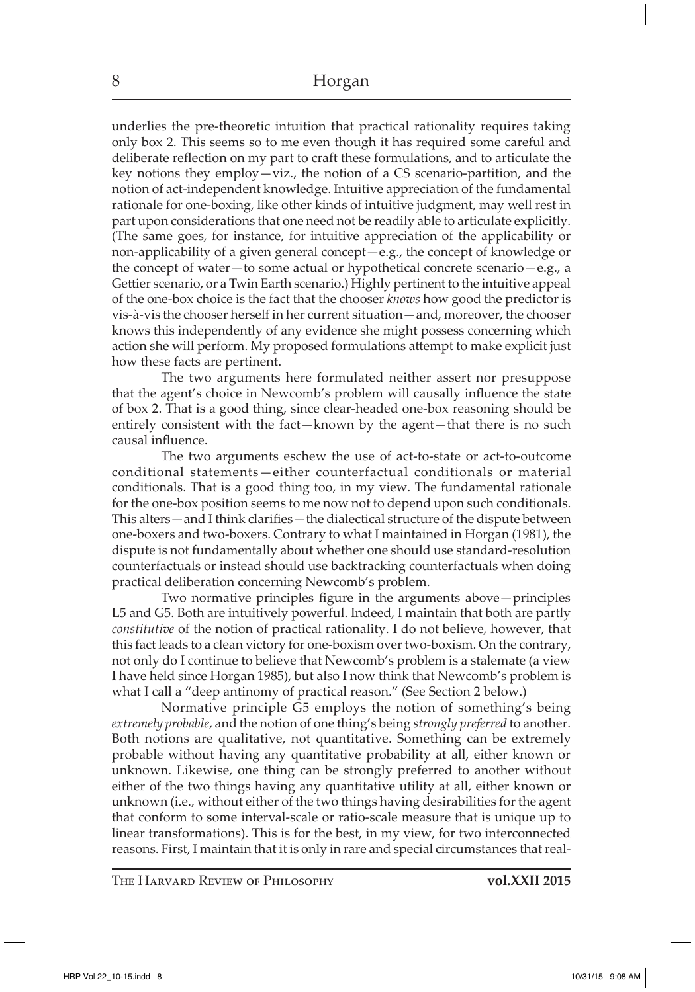underlies the pre-theoretic intuition that practical rationality requires taking only box 2. This seems so to me even though it has required some careful and deliberate refection on my part to craft these formulations, and to articulate the key notions they employ—viz., the notion of a CS scenario-partition, and the notion of act-independent knowledge. Intuitive appreciation of the fundamental rationale for one-boxing, like other kinds of intuitive judgment, may well rest in part upon considerations that one need not be readily able to articulate explicitly. (The same goes, for instance, for intuitive appreciation of the applicability or non-applicability of a given general concept—e.g., the concept of knowledge or the concept of water—to some actual or hypothetical concrete scenario—e.g., a Getier scenario, or a Twin Earth scenario.) Highly pertinent to the intuitive appeal of the one-box choice is the fact that the chooser *knows* how good the predictor is vis-à-vis the chooser herself in her current situation—and, moreover, the chooser knows this independently of any evidence she might possess concerning which action she will perform. My proposed formulations atempt to make explicit just how these facts are pertinent.

The two arguments here formulated neither assert nor presuppose that the agent's choice in Newcomb's problem will causally infuence the state of box 2. That is a good thing, since clear-headed one-box reasoning should be entirely consistent with the fact—known by the agent—that there is no such causal infuence.

The two arguments eschew the use of act-to-state or act-to-outcome conditional statements—either counterfactual conditionals or material conditionals. That is a good thing too, in my view. The fundamental rationale for the one-box position seems to me now not to depend upon such conditionals. This alters—and I think clarifes—the dialectical structure of the dispute between one-boxers and two-boxers. Contrary to what I maintained in Horgan (1981), the dispute is not fundamentally about whether one should use standard-resolution counterfactuals or instead should use backtracking counterfactuals when doing practical deliberation concerning Newcomb's problem.

Two normative principles fgure in the arguments above—principles L5 and G5. Both are intuitively powerful. Indeed, I maintain that both are partly *constitutive* of the notion of practical rationality. I do not believe, however, that this fact leads to a clean victory for one-boxism over two-boxism. On the contrary, not only do I continue to believe that Newcomb's problem is a stalemate (a view I have held since Horgan 1985), but also I now think that Newcomb's problem is what I call a "deep antinomy of practical reason." (See Section 2 below.)

Normative principle G5 employs the notion of something's being *extremely probable*, and the notion of one thing's being *strongly preferred* to another. Both notions are qualitative, not quantitative. Something can be extremely probable without having any quantitative probability at all, either known or unknown. Likewise, one thing can be strongly preferred to another without either of the two things having any quantitative utility at all, either known or unknown (i.e., without either of the two things having desirabilities for the agent that conform to some interval-scale or ratio-scale measure that is unique up to linear transformations). This is for the best, in my view, for two interconnected reasons. First, I maintain that it is only in rare and special circumstances that real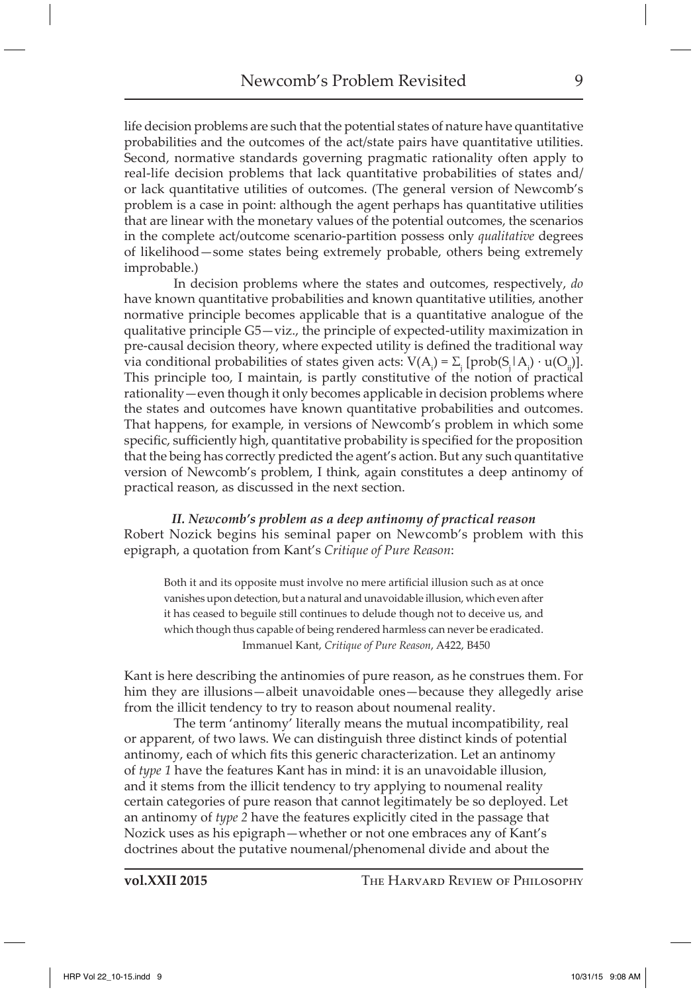life decision problems are such that the potential states of nature have quantitative probabilities and the outcomes of the act/state pairs have quantitative utilities. Second, normative standards governing pragmatic rationality often apply to real-life decision problems that lack quantitative probabilities of states and/ or lack quantitative utilities of outcomes. (The general version of Newcomb's problem is a case in point: although the agent perhaps has quantitative utilities that are linear with the monetary values of the potential outcomes, the scenarios in the complete act/outcome scenario-partition possess only *qualitative* degrees of likelihood—some states being extremely probable, others being extremely improbable.)

In decision problems where the states and outcomes, respectively, *do* have known quantitative probabilities and known quantitative utilities, another normative principle becomes applicable that is a quantitative analogue of the qualitative principle G5—viz., the principle of expected-utility maximization in pre-causal decision theory, where expected utility is defned the traditional way via conditional probabilities of states given acts:  $V(A_i) = \sum_j [prob(S_i | A_i) \cdot u(O_{ij})]$ . This principle too, I maintain, is partly constitutive of the notion of practical rationality—even though it only becomes applicable in decision problems where the states and outcomes have known quantitative probabilities and outcomes. That happens, for example, in versions of Newcomb's problem in which some specific, sufficiently high, quantitative probability is specified for the proposition that the being has correctly predicted the agent's action. But any such quantitative version of Newcomb's problem, I think, again constitutes a deep antinomy of practical reason, as discussed in the next section.

*II. Newcomb's problem as a deep antinomy of practical reason* Robert Nozick begins his seminal paper on Newcomb's problem with this epigraph, a quotation from Kant's *Critique of Pure Reason*:

Both it and its opposite must involve no mere artifcial illusion such as at once vanishes upon detection, but a natural and unavoidable illusion, which even after it has ceased to beguile still continues to delude though not to deceive us, and which though thus capable of being rendered harmless can never be eradicated. Immanuel Kant, *Critique of Pure Reason*, A422, B450

Kant is here describing the antinomies of pure reason, as he construes them. For him they are illusions—albeit unavoidable ones—because they allegedly arise from the illicit tendency to try to reason about noumenal reality.

The term 'antinomy' literally means the mutual incompatibility, real or apparent, of two laws. We can distinguish three distinct kinds of potential antinomy, each of which fits this generic characterization. Let an antinomy of *type 1* have the features Kant has in mind: it is an unavoidable illusion, and it stems from the illicit tendency to try applying to noumenal reality certain categories of pure reason that cannot legitimately be so deployed. Let an antinomy of *type 2* have the features explicitly cited in the passage that Nozick uses as his epigraph—whether or not one embraces any of Kant's doctrines about the putative noumenal/phenomenal divide and about the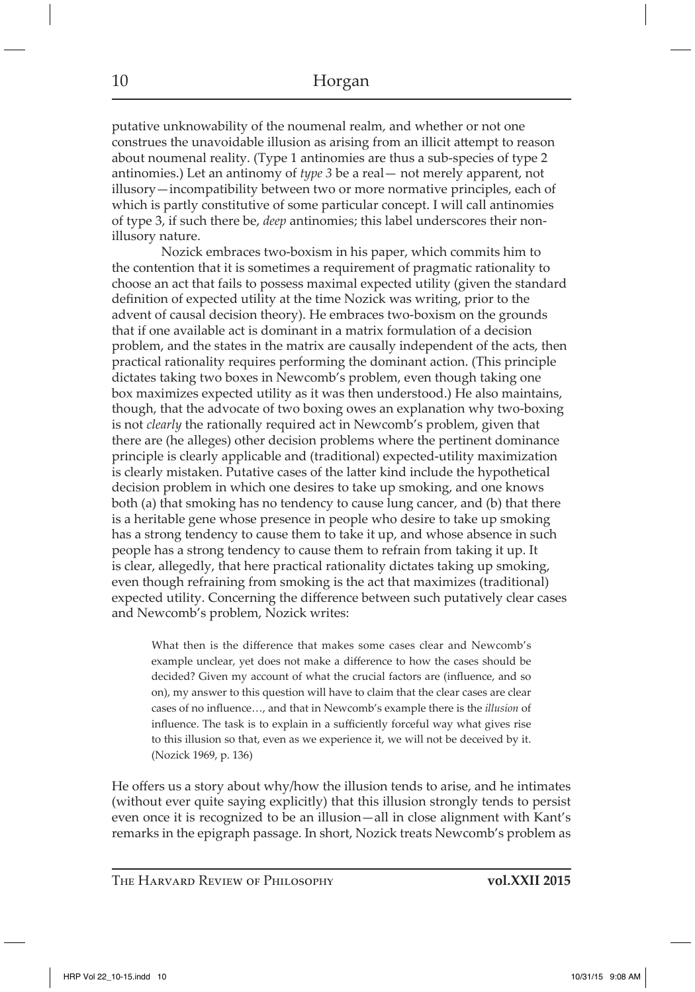putative unknowability of the noumenal realm, and whether or not one construes the unavoidable illusion as arising from an illicit atempt to reason about noumenal reality. (Type 1 antinomies are thus a sub-species of type 2 antinomies.) Let an antinomy of *type 3* be a real— not merely apparent, not illusory—incompatibility between two or more normative principles, each of which is partly constitutive of some particular concept. I will call antinomies of type 3, if such there be, *deep* antinomies; this label underscores their nonillusory nature.

Nozick embraces two-boxism in his paper, which commits him to the contention that it is sometimes a requirement of pragmatic rationality to choose an act that fails to possess maximal expected utility (given the standard defnition of expected utility at the time Nozick was writing, prior to the advent of causal decision theory). He embraces two-boxism on the grounds that if one available act is dominant in a matrix formulation of a decision problem, and the states in the matrix are causally independent of the acts, then practical rationality requires performing the dominant action. (This principle dictates taking two boxes in Newcomb's problem, even though taking one box maximizes expected utility as it was then understood.) He also maintains, though, that the advocate of two boxing owes an explanation why two-boxing is not *clearly* the rationally required act in Newcomb's problem, given that there are (he alleges) other decision problems where the pertinent dominance principle is clearly applicable and (traditional) expected-utility maximization is clearly mistaken. Putative cases of the later kind include the hypothetical decision problem in which one desires to take up smoking, and one knows both (a) that smoking has no tendency to cause lung cancer, and (b) that there is a heritable gene whose presence in people who desire to take up smoking has a strong tendency to cause them to take it up, and whose absence in such people has a strong tendency to cause them to refrain from taking it up. It is clear, allegedly, that here practical rationality dictates taking up smoking, even though refraining from smoking is the act that maximizes (traditional) expected utility. Concerning the diference between such putatively clear cases and Newcomb's problem, Nozick writes:

What then is the diference that makes some cases clear and Newcomb's example unclear, yet does not make a diference to how the cases should be decided? Given my account of what the crucial factors are (infuence, and so on), my answer to this question will have to claim that the clear cases are clear cases of no infuence…, and that in Newcomb's example there is the *illusion* of influence. The task is to explain in a sufficiently forceful way what gives rise to this illusion so that, even as we experience it, we will not be deceived by it. (Nozick 1969, p. 136)

He offers us a story about why/how the illusion tends to arise, and he intimates (without ever quite saying explicitly) that this illusion strongly tends to persist even once it is recognized to be an illusion—all in close alignment with Kant's remarks in the epigraph passage. In short, Nozick treats Newcomb's problem as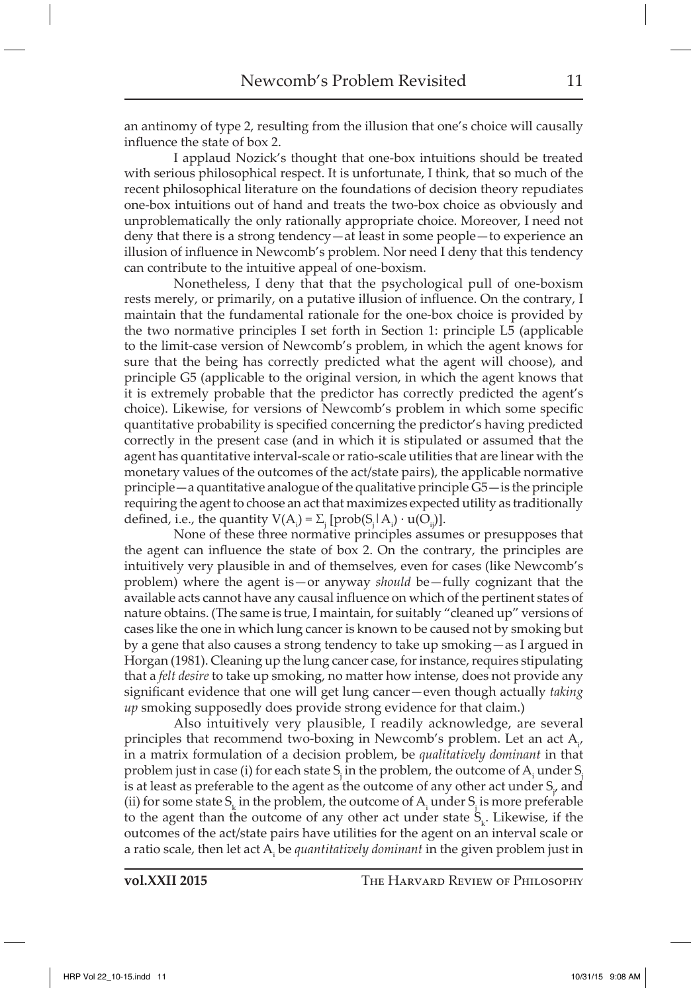an antinomy of type 2, resulting from the illusion that one's choice will causally infuence the state of box 2.

I applaud Nozick's thought that one-box intuitions should be treated with serious philosophical respect. It is unfortunate, I think, that so much of the recent philosophical literature on the foundations of decision theory repudiates one-box intuitions out of hand and treats the two-box choice as obviously and unproblematically the only rationally appropriate choice. Moreover, I need not deny that there is a strong tendency—at least in some people—to experience an illusion of infuence in Newcomb's problem. Nor need I deny that this tendency can contribute to the intuitive appeal of one-boxism.

Nonetheless, I deny that that the psychological pull of one-boxism rests merely, or primarily, on a putative illusion of infuence. On the contrary, I maintain that the fundamental rationale for the one-box choice is provided by the two normative principles I set forth in Section 1: principle L5 (applicable to the limit-case version of Newcomb's problem, in which the agent knows for sure that the being has correctly predicted what the agent will choose), and principle G5 (applicable to the original version, in which the agent knows that it is extremely probable that the predictor has correctly predicted the agent's choice). Likewise, for versions of Newcomb's problem in which some specifc quantitative probability is specifed concerning the predictor's having predicted correctly in the present case (and in which it is stipulated or assumed that the agent has quantitative interval-scale or ratio-scale utilities that are linear with the monetary values of the outcomes of the act/state pairs), the applicable normative principle—a quantitative analogue of the qualitative principle G5—is the principle requiring the agent to choose an act that maximizes expected utility as traditionally defined, i.e., the quantity  $V(A_i) = \sum_j [prob(S_i | A_i) \cdot u(O_{ij})].$ 

None of these three normative principles assumes or presupposes that the agent can infuence the state of box 2. On the contrary, the principles are intuitively very plausible in and of themselves, even for cases (like Newcomb's problem) where the agent is—or anyway *should* be—fully cognizant that the available acts cannot have any causal infuence on which of the pertinent states of nature obtains. (The same is true, I maintain, for suitably "cleaned up" versions of cases like the one in which lung cancer is known to be caused not by smoking but by a gene that also causes a strong tendency to take up smoking—as I argued in Horgan (1981). Cleaning up the lung cancer case, for instance, requires stipulating that a *felt desire* to take up smoking, no mater how intense, does not provide any signifcant evidence that one will get lung cancer—even though actually *taking up* smoking supposedly does provide strong evidence for that claim.)

Also intuitively very plausible, I readily acknowledge, are several principles that recommend two-boxing in Newcomb's problem. Let an act  $A_{i'}$ in a matrix formulation of a decision problem, be *qualitatively dominant* in that problem just in case (i) for each state  $S_j$  in the problem, the outcome of  $A_i$  under  $S_j$ is at least as preferable to the agent as the outcome of any other act under  $S_{i'}$  and (ii) for some state  $S_k$  in the problem, the outcome of  $A_i$  under  $S_i$  is more preferable to the agent than the outcome of any other act under state  $S_k$ . Likewise, if the outcomes of the act/state pairs have utilities for the agent on an interval scale or a ratio scale, then let act A<sub>i</sub> be *quantitatively dominant* in the given problem just in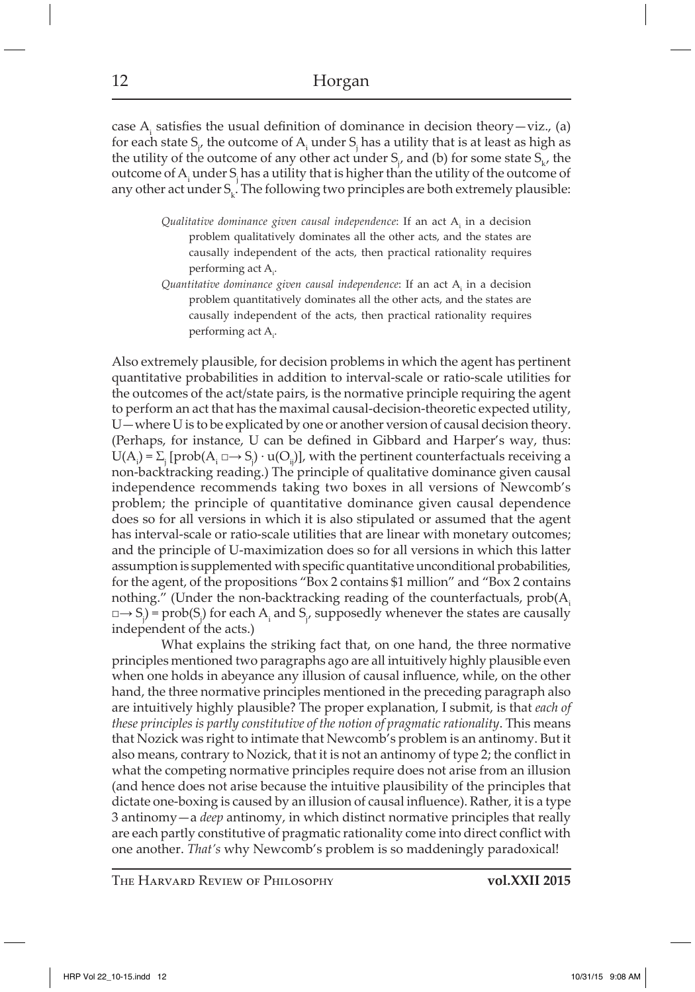case  $A_i$  satisfies the usual definition of dominance in decision theory — viz., (a) for each state S<sub><sub>i</sub></sub>, the outcome of A<sub>i</sub> under S<sub>i</sub> has a utility that is at least as high as the utility of the outcome of any other act under  $S_i$ , and (b) for some state  $S_k$ , the outcome of  $A_i$  under  $S_i$  has a utility that is higher than the utility of the outcome of any other act under  $S_k$ . The following two principles are both extremely plausible:

- Qualitative dominance given causal independence: If an act A<sub>i</sub> in a decision problem qualitatively dominates all the other acts, and the states are causally independent of the acts, then practical rationality requires performing act A<sub><sub>i</sub>.</sub>
- Quantitative dominance given causal independence: If an act A<sub>i</sub> in a decision problem quantitatively dominates all the other acts, and the states are causally independent of the acts, then practical rationality requires performing act A<sub><sub>i</sub>.</sub>

Also extremely plausible, for decision problems in which the agent has pertinent quantitative probabilities in addition to interval-scale or ratio-scale utilities for the outcomes of the act/state pairs, is the normative principle requiring the agent to perform an act that has the maximal causal-decision-theoretic expected utility, U—where U is to be explicated by one or another version of causal decision theory. (Perhaps, for instance, U can be defned in Gibbard and Harper's way, thus:  $U(A_i) = \sum_i [prob(A_i \Box \rightarrow S_i) \cdot u(O_i)]$ , with the pertinent counterfactuals receiving a non-backtracking reading.) The principle of qualitative dominance given causal independence recommends taking two boxes in all versions of Newcomb's problem; the principle of quantitative dominance given causal dependence does so for all versions in which it is also stipulated or assumed that the agent has interval-scale or ratio-scale utilities that are linear with monetary outcomes; and the principle of U-maximization does so for all versions in which this later assumption is supplemented with specifc quantitative unconditional probabilities, for the agent, of the propositions "Box 2 contains \$1 million" and "Box 2 contains nothing." (Under the non-backtracking reading of the counterfactuals, prob(A,  $\Box \rightarrow S_i$ ) = prob(S<sub>i</sub>) for each A<sub>i</sub> and S<sub>i</sub>, supposedly whenever the states are causally independent of the acts.)

What explains the striking fact that, on one hand, the three normative principles mentioned two paragraphs ago are all intuitively highly plausible even when one holds in abeyance any illusion of causal infuence, while, on the other hand, the three normative principles mentioned in the preceding paragraph also are intuitively highly plausible? The proper explanation, I submit, is that *each of these principles is partly constitutive of the notion of pragmatic rationality*. This means that Nozick was right to intimate that Newcomb's problem is an antinomy. But it also means, contrary to Nozick, that it is not an antinomy of type 2; the confict in what the competing normative principles require does not arise from an illusion (and hence does not arise because the intuitive plausibility of the principles that dictate one-boxing is caused by an illusion of causal infuence). Rather, it is a type 3 antinomy—a *deep* antinomy, in which distinct normative principles that really are each partly constitutive of pragmatic rationality come into direct confict with one another. *That's* why Newcomb's problem is so maddeningly paradoxical!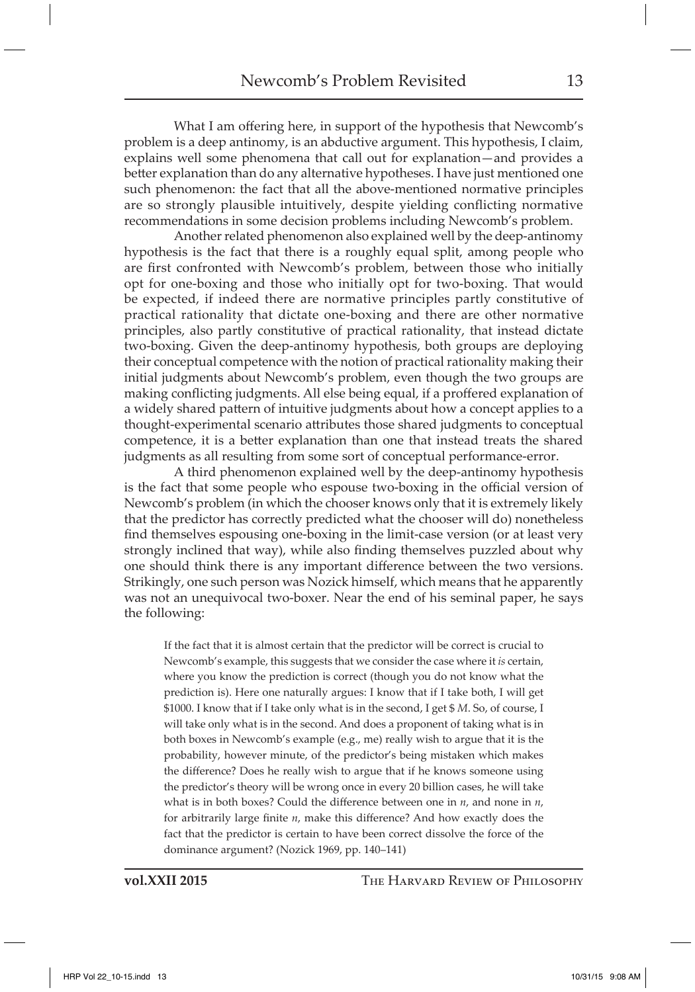What I am offering here, in support of the hypothesis that Newcomb's problem is a deep antinomy, is an abductive argument. This hypothesis, I claim, explains well some phenomena that call out for explanation—and provides a better explanation than do any alternative hypotheses. I have just mentioned one such phenomenon: the fact that all the above-mentioned normative principles are so strongly plausible intuitively, despite yielding conficting normative recommendations in some decision problems including Newcomb's problem.

Another related phenomenon also explained well by the deep-antinomy hypothesis is the fact that there is a roughly equal split, among people who are first confronted with Newcomb's problem, between those who initially opt for one-boxing and those who initially opt for two-boxing. That would be expected, if indeed there are normative principles partly constitutive of practical rationality that dictate one-boxing and there are other normative principles, also partly constitutive of practical rationality, that instead dictate two-boxing. Given the deep-antinomy hypothesis, both groups are deploying their conceptual competence with the notion of practical rationality making their initial judgments about Newcomb's problem, even though the two groups are making conficting judgments. All else being equal, if a profered explanation of a widely shared patern of intuitive judgments about how a concept applies to a thought-experimental scenario atributes those shared judgments to conceptual competence, it is a beter explanation than one that instead treats the shared judgments as all resulting from some sort of conceptual performance-error.

A third phenomenon explained well by the deep-antinomy hypothesis is the fact that some people who espouse two-boxing in the official version of Newcomb's problem (in which the chooser knows only that it is extremely likely that the predictor has correctly predicted what the chooser will do) nonetheless fnd themselves espousing one-boxing in the limit-case version (or at least very strongly inclined that way), while also fnding themselves puzzled about why one should think there is any important diference between the two versions. Strikingly, one such person was Nozick himself, which means that he apparently was not an unequivocal two-boxer. Near the end of his seminal paper, he says the following:

If the fact that it is almost certain that the predictor will be correct is crucial to Newcomb's example, this suggests that we consider the case where it *is* certain, where you know the prediction is correct (though you do not know what the prediction is). Here one naturally argues: I know that if I take both, I will get \$1000. I know that if I take only what is in the second, I get \$ *M*. So, of course, I will take only what is in the second. And does a proponent of taking what is in both boxes in Newcomb's example (e.g., me) really wish to argue that it is the probability, however minute, of the predictor's being mistaken which makes the diference? Does he really wish to argue that if he knows someone using the predictor's theory will be wrong once in every 20 billion cases, he will take what is in both boxes? Could the diference between one in *n*, and none in *n*, for arbitrarily large fnite *n*, make this diference? And how exactly does the fact that the predictor is certain to have been correct dissolve the force of the dominance argument? (Nozick 1969, pp. 140–141)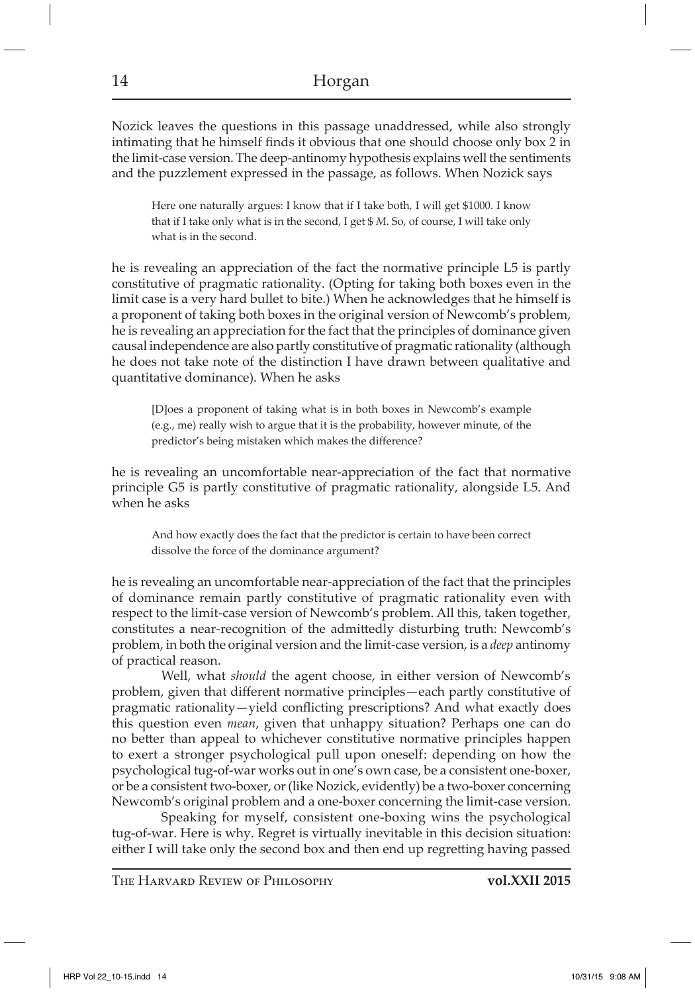Nozick leaves the questions in this passage unaddressed, while also strongly intimating that he himself fnds it obvious that one should choose only box 2 in the limit-case version. The deep-antinomy hypothesis explains well the sentiments and the puzzlement expressed in the passage, as follows. When Nozick says

Here one naturally argues: I know that if I take both, I will get \$1000. I know that if I take only what is in the second, I get \$ *M*. So, of course, I will take only what is in the second.

he is revealing an appreciation of the fact the normative principle L5 is partly constitutive of pragmatic rationality. (Opting for taking both boxes even in the limit case is a very hard bullet to bite.) When he acknowledges that he himself is a proponent of taking both boxes in the original version of Newcomb's problem, he is revealing an appreciation for the fact that the principles of dominance given causal independence are also partly constitutive of pragmatic rationality (although he does not take note of the distinction I have drawn between qualitative and quantitative dominance). When he asks

[D]oes a proponent of taking what is in both boxes in Newcomb's example (e.g., me) really wish to argue that it is the probability, however minute, of the predictor's being mistaken which makes the diference?

he is revealing an uncomfortable near-appreciation of the fact that normative principle G5 is partly constitutive of pragmatic rationality, alongside L5. And when he asks

And how exactly does the fact that the predictor is certain to have been correct dissolve the force of the dominance argument?

he is revealing an uncomfortable near-appreciation of the fact that the principles of dominance remain partly constitutive of pragmatic rationality even with respect to the limit-case version of Newcomb's problem. All this, taken together, constitutes a near-recognition of the admitedly disturbing truth: Newcomb's problem, in both the original version and the limit-case version, is a *deep* antinomy of practical reason.

Well, what *should* the agent choose, in either version of Newcomb's problem, given that diferent normative principles—each partly constitutive of pragmatic rationality—yield conficting prescriptions? And what exactly does this question even *mean*, given that unhappy situation? Perhaps one can do no better than appeal to whichever constitutive normative principles happen to exert a stronger psychological pull upon oneself: depending on how the psychological tug-of-war works out in one's own case, be a consistent one-boxer, or be a consistent two-boxer, or (like Nozick, evidently) be a two-boxer concerning Newcomb's original problem and a one-boxer concerning the limit-case version.

Speaking for myself, consistent one-boxing wins the psychological tug-of-war. Here is why. Regret is virtually inevitable in this decision situation: either I will take only the second box and then end up regreting having passed